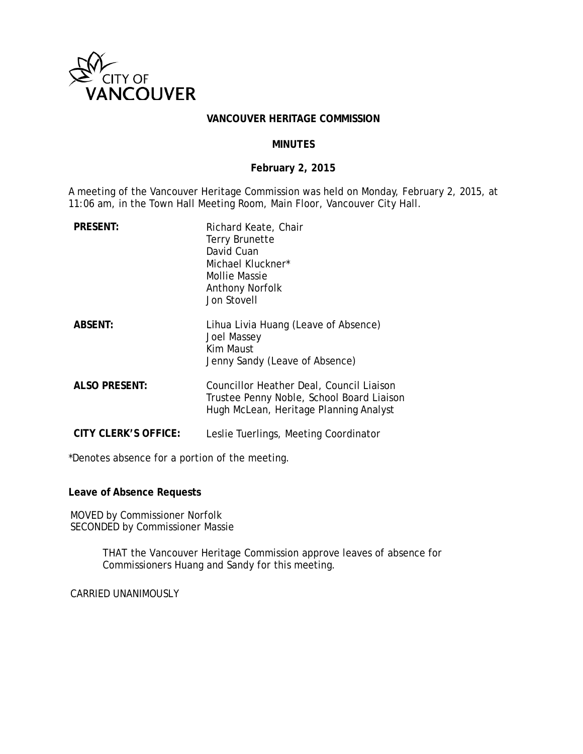

#### **VANCOUVER HERITAGE COMMISSION**

#### **MINUTES**

## **February 2, 2015**

A meeting of the Vancouver Heritage Commission was held on Monday, February 2, 2015, at 11:06 am, in the Town Hall Meeting Room, Main Floor, Vancouver City Hall.

| <b>PRESENT:</b>      | Richard Keate, Chair<br><b>Terry Brunette</b><br>David Cuan<br>Michael Kluckner*<br>Mollie Massie<br><b>Anthony Norfolk</b><br><b>Jon Stovell</b> |
|----------------------|---------------------------------------------------------------------------------------------------------------------------------------------------|
| <b>ABSENT:</b>       | Lihua Livia Huang (Leave of Absence)<br><b>Joel Massey</b><br>Kim Maust<br>Jenny Sandy (Leave of Absence)                                         |
| <b>ALSO PRESENT:</b> | Councillor Heather Deal, Council Liaison<br>Trustee Penny Noble, School Board Liaison<br>Hugh McLean, Heritage Planning Analyst                   |
| CITY CLERK'S OFFICE: | Leslie Tuerlings, Meeting Coordinator                                                                                                             |

\*Denotes absence for a portion of the meeting.

**Leave of Absence Requests**

MOVED by Commissioner Norfolk SECONDED by Commissioner Massie

> THAT the Vancouver Heritage Commission approve leaves of absence for Commissioners Huang and Sandy for this meeting.

CARRIED UNANIMOUSLY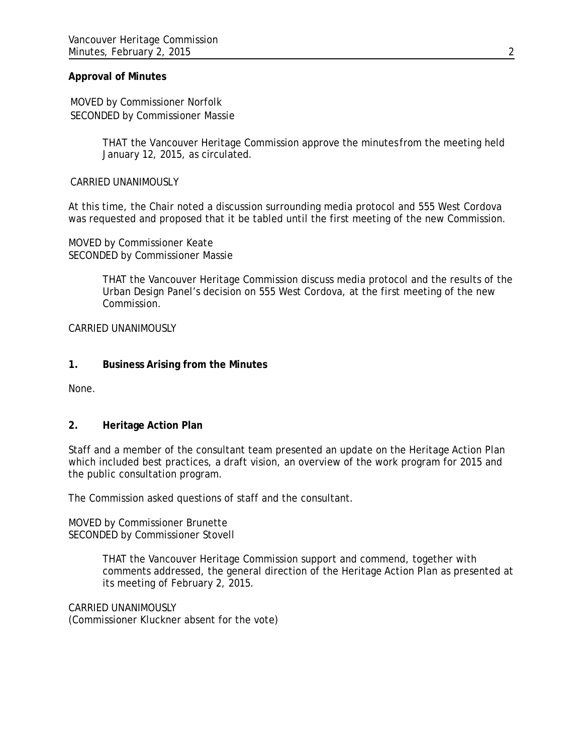## **Approval of Minutes**

MOVED by Commissioner Norfolk SECONDED by Commissioner Massie

> THAT the Vancouver Heritage Commission approve the minutes from the meeting held January 12, 2015, as circulated.

CARRIED UNANIMOUSLY

At this time, the Chair noted a discussion surrounding media protocol and 555 West Cordova was requested and proposed that it be tabled until the first meeting of the new Commission.

MOVED by Commissioner Keate SECONDED by Commissioner Massie

> THAT the Vancouver Heritage Commission discuss media protocol and the results of the Urban Design Panel's decision on 555 West Cordova, at the first meeting of the new Commission.

CARRIED UNANIMOUSLY

## **1. Business Arising from the Minutes**

None.

#### **2. Heritage Action Plan**

Staff and a member of the consultant team presented an update on the Heritage Action Plan which included best practices, a draft vision, an overview of the work program for 2015 and the public consultation program.

The Commission asked questions of staff and the consultant.

MOVED by Commissioner Brunette SECONDED by Commissioner Stovell

> THAT the Vancouver Heritage Commission support and commend, together with comments addressed, the general direction of the Heritage Action Plan as presented at its meeting of February 2, 2015.

CARRIED UNANIMOUSLY (Commissioner Kluckner absent for the vote)